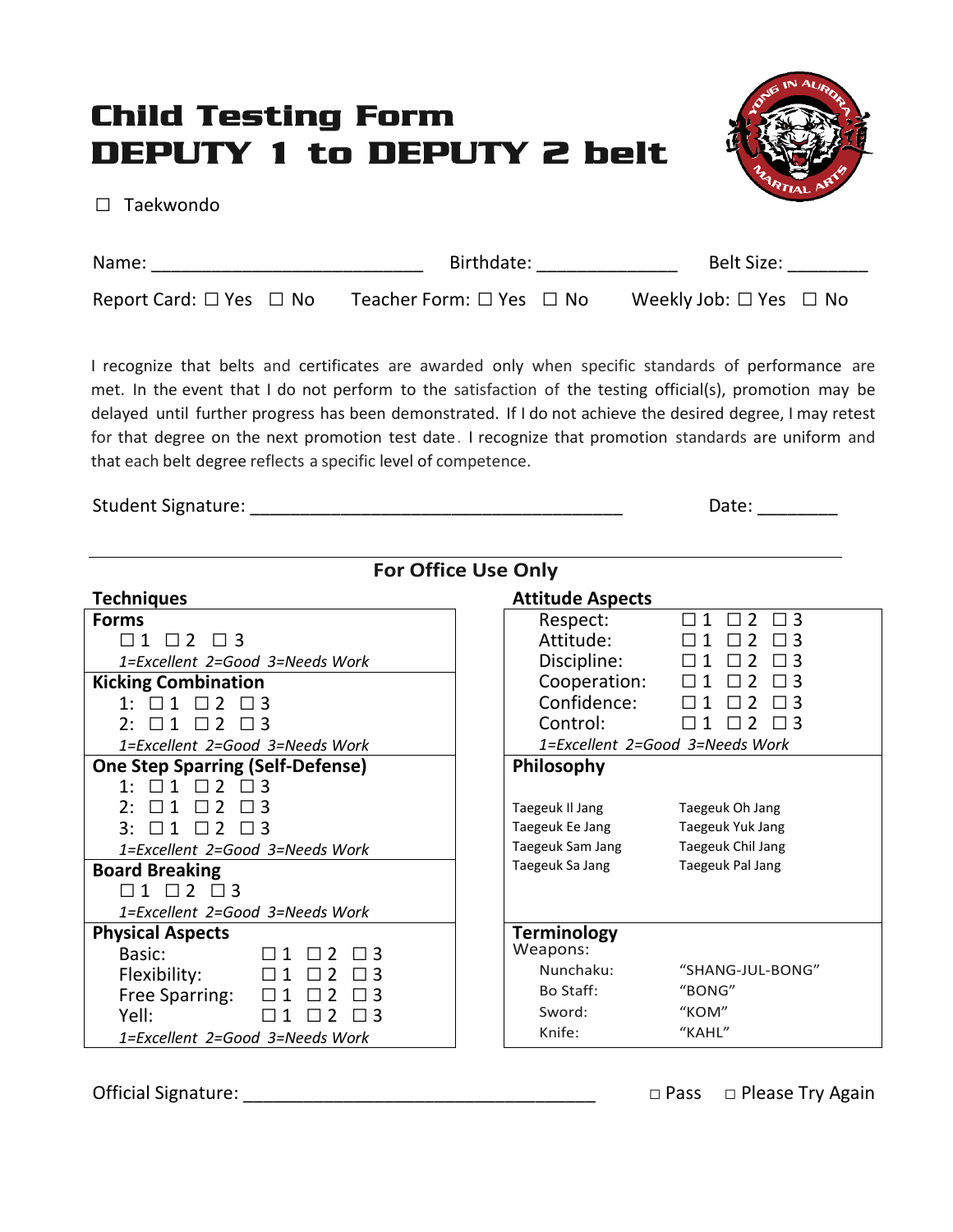## Child Testing Form DEPUTY 1 to DEPUTY 2 belt



□ Taekwondo

| Name:                                   | Birthdate:                         | Belt Size:                             |
|-----------------------------------------|------------------------------------|----------------------------------------|
| Report Card: $\square$ Yes $\square$ No | Teacher Form: $\Box$ Yes $\Box$ No | Weekly Job: $\square$ Yes $\square$ No |

I recognize that belts and certificates are awarded only when specific standards of performance are met. In the event that I do not perform to the satisfaction of the testing official(s), promotion may be delayed until further progress has been demonstrated. If I do not achieve the desired degree, I may retest for that degree on the next promotion test date. I recognize that promotion standards are uniform and that each belt degree reflects a specific level of competence.

Student Signature: \_\_\_\_\_\_\_\_\_\_\_\_\_\_\_\_\_\_\_\_\_\_\_\_\_\_\_\_\_\_\_\_\_\_\_\_\_ Date: \_\_\_\_\_\_\_\_

| <b>For Office Use Only</b>                            |                                                   |  |  |  |  |
|-------------------------------------------------------|---------------------------------------------------|--|--|--|--|
| <b>Techniques</b>                                     | <b>Attitude Aspects</b>                           |  |  |  |  |
| <b>Forms</b>                                          | Respect:<br>2<br>3<br>$\mathbf 1$<br>$\mathsf{L}$ |  |  |  |  |
| $\Box$ 1 $\Box$ 2 $\Box$ 3                            | Attitude:                                         |  |  |  |  |
| 1=Excellent 2=Good 3=Needs Work                       | Discipline:<br>$\mathcal{P}$                      |  |  |  |  |
| <b>Kicking Combination</b>                            | Cooperation:                                      |  |  |  |  |
|                                                       | Confidence:                                       |  |  |  |  |
| $2 \cdot$<br>$\mathbf{1}$<br>$\mathcal{L}$<br>$\perp$ | Control:<br>-3<br>ΙI                              |  |  |  |  |
| 1=Excellent 2=Good 3=Needs Work                       | 1=Excellent 2=Good 3=Needs Work                   |  |  |  |  |
| <b>One Step Sparring (Self-Defense)</b>               | Philosophy                                        |  |  |  |  |
| $\Box$<br>$\mathbf 1$                                 |                                                   |  |  |  |  |
| $\mathbf{1}$<br>$\mathcal{P}$<br>2:                   | Taegeuk II Jang<br>Taegeuk Oh Jang                |  |  |  |  |
| $\mathbf{3}$ :<br>1<br>$\mathcal{L}$                  | Taegeuk Ee Jang<br>Taegeuk Yuk Jang               |  |  |  |  |
| 1=Excellent 2=Good 3=Needs Work                       | Taegeuk Sam Jang<br>Taegeuk Chil Jang             |  |  |  |  |
| <b>Board Breaking</b>                                 | Taegeuk Sa Jang<br>Taegeuk Pal Jang               |  |  |  |  |
| ़<br>1<br>$\mathcal{L}$                               |                                                   |  |  |  |  |
| 1=Excellent 2=Good 3=Needs Work                       |                                                   |  |  |  |  |
| <b>Physical Aspects</b>                               | <b>Terminology</b>                                |  |  |  |  |
| Basic:<br>2<br>$\mathbf 1$<br>़्                      | Weapons:                                          |  |  |  |  |
| Flexibility:                                          | Nunchaku:<br>"SHANG-JUL-BONG"                     |  |  |  |  |
| Free Sparring:                                        | Bo Staff:<br>"BONG"                               |  |  |  |  |
| Yell:                                                 | Sword:<br>"KOM"                                   |  |  |  |  |
| 1=Excellent 2=Good 3=Needs Work                       | "KAHL"<br>Knife:                                  |  |  |  |  |